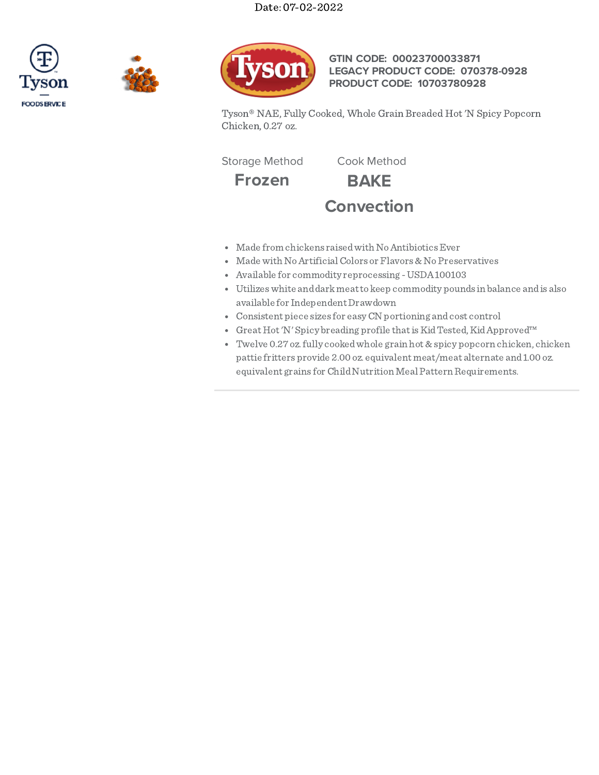





**GTIN CODE: 00023700033871 LEGACY PRODUCT CODE: 070378-0928 PRODUCT CODE: 10703780928**

Tyson® NAE, Fully Cooked, Whole Grain Breaded Hot 'N Spicy Popcorn Chicken, 0.27 oz.

Storage Method Cook Method

**Frozen BAKE Convection**

- Made from chickens raised with No Antibiotics Ever
- Made with No Artificial Colors or Flavors & No Preservatives
- Available for commodity reprocessing -USDA100103
- Utilizeswhite anddarkmeatto keep commodity pounds in balance andis also available for Independent Drawdown
- Consistent piece sizes for easyCN portioning andcost control
- Great Hot 'N' Spicy breading profile that is Kid Tested, Kid Approved™
- Twelve 0.27oz.fully cookedwhole grain hot &spicy popcorn chicken, chicken pattie fritters provide 2.00 oz. equivalent meat/meat alternate and1.00 oz. equivalent grains for Child Nutrition Meal Pattern Requirements.